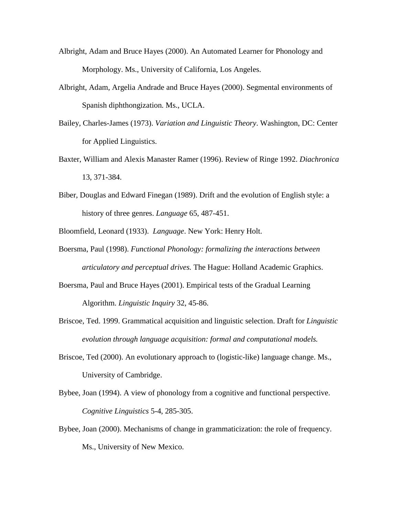- Albright, Adam and Bruce Hayes (2000). An Automated Learner for Phonology and Morphology. Ms., University of California, Los Angeles.
- Albright, Adam, Argelia Andrade and Bruce Hayes (2000). Segmental environments of Spanish diphthongization. Ms., UCLA.
- Bailey, Charles-James (1973). *Variation and Linguistic Theory*. Washington, DC: Center for Applied Linguistics.
- Baxter, William and Alexis Manaster Ramer (1996). Review of Ringe 1992. *Diachronica* 13, 371-384.
- Biber, Douglas and Edward Finegan (1989). Drift and the evolution of English style: a history of three genres. *Language* 65, 487-451.
- Bloomfield, Leonard (1933). *Language*. New York: Henry Holt.
- Boersma, Paul (1998). *Functional Phonology: formalizing the interactions between articulatory and perceptual drives.* The Hague: Holland Academic Graphics.
- Boersma, Paul and Bruce Hayes (2001). Empirical tests of the Gradual Learning Algorithm. *Linguistic Inquiry* 32, 45-86.
- Briscoe, Ted. 1999. Grammatical acquisition and linguistic selection. Draft for *Linguistic evolution through language acquisition: formal and computational models.*
- Briscoe, Ted (2000). An evolutionary approach to (logistic-like) language change. Ms., University of Cambridge.
- Bybee, Joan (1994). A view of phonology from a cognitive and functional perspective. *Cognitive Linguistics* 5-4, 285-305.
- Bybee, Joan (2000). Mechanisms of change in grammaticization: the role of frequency. Ms., University of New Mexico.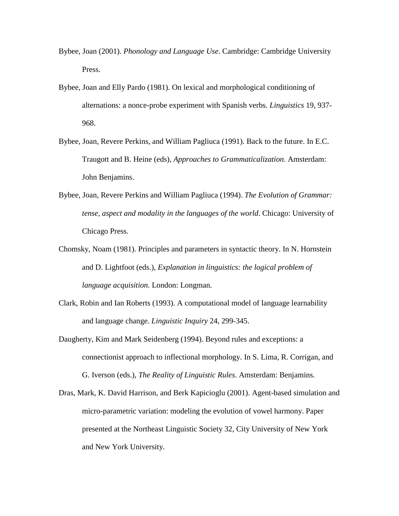- Bybee, Joan (2001). *Phonology and Language Use*. Cambridge: Cambridge University Press.
- Bybee, Joan and Elly Pardo (1981). On lexical and morphological conditioning of alternations: a nonce-probe experiment with Spanish verbs. *Linguistics* 19, 937- 968.
- Bybee, Joan, Revere Perkins, and William Pagliuca (1991). Back to the future. In E.C. Traugott and B. Heine (eds), *Approaches to Grammaticalization*. Amsterdam: John Benjamins.
- Bybee, Joan, Revere Perkins and William Pagliuca (1994). *The Evolution of Grammar: tense, aspect and modality in the languages of the world*. Chicago: University of Chicago Press.
- Chomsky, Noam (1981). Principles and parameters in syntactic theory. In N. Hornstein and D. Lightfoot (eds.), *Explanation in linguistics: the logical problem of language acquisition.* London: Longman.
- Clark, Robin and Ian Roberts (1993). A computational model of language learnability and language change. *Linguistic Inquiry* 24, 299-345.
- Daugherty, Kim and Mark Seidenberg (1994). Beyond rules and exceptions: a connectionist approach to inflectional morphology. In S. Lima, R. Corrigan, and G. Iverson (eds.), *The Reality of Linguistic Rules*. Amsterdam: Benjamins.
- Dras, Mark, K. David Harrison, and Berk Kapicioglu (2001). Agent-based simulation and micro-parametric variation: modeling the evolution of vowel harmony. Paper presented at the Northeast Linguistic Society 32, City University of New York and New York University.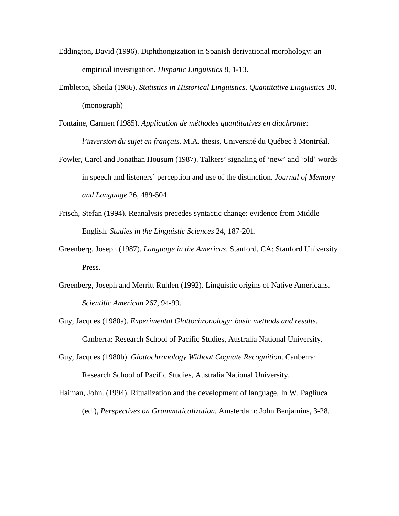- Eddington, David (1996). Diphthongization in Spanish derivational morphology: an empirical investigation. *Hispanic Linguistics* 8, 1-13.
- Embleton, Sheila (1986). *Statistics in Historical Linguistics*. *Quantitative Linguistics* 30. (monograph)
- Fontaine, Carmen (1985). *Application de méthodes quantitatives en diachronie: l'inversion du sujet en français*. M.A. thesis, Université du Québec à Montréal.
- Fowler, Carol and Jonathan Housum (1987). Talkers' signaling of 'new' and 'old' words in speech and listeners' perception and use of the distinction. *Journal of Memory and Language* 26, 489-504.
- Frisch, Stefan (1994). Reanalysis precedes syntactic change: evidence from Middle English. *Studies in the Linguistic Sciences* 24, 187-201.
- Greenberg, Joseph (1987). *Language in the Americas*. Stanford, CA: Stanford University Press.
- Greenberg, Joseph and Merritt Ruhlen (1992). Linguistic origins of Native Americans. *Scientific American* 267, 94-99.
- Guy, Jacques (1980a). *Experimental Glottochronology: basic methods and results*. Canberra: Research School of Pacific Studies, Australia National University.
- Guy, Jacques (1980b). *Glottochronology Without Cognate Recognition*. Canberra: Research School of Pacific Studies, Australia National University.
- Haiman, John. (1994). Ritualization and the development of language. In W. Pagliuca (ed.), *Perspectives on Grammaticalization.* Amsterdam: John Benjamins, 3-28.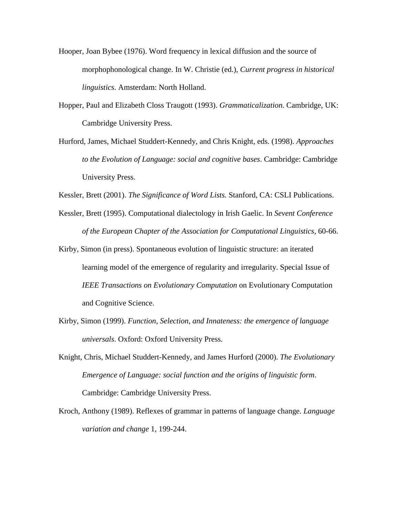- Hooper, Joan Bybee (1976). Word frequency in lexical diffusion and the source of morphophonological change. In W. Christie (ed.), *Current progress in historical linguistics*. Amsterdam: North Holland.
- Hopper, Paul and Elizabeth Closs Traugott (1993). *Grammaticalization*. Cambridge, UK: Cambridge University Press.
- Hurford, James, Michael Studdert-Kennedy, and Chris Knight, eds. (1998). *Approaches to the Evolution of Language: social and cognitive bases*. Cambridge: Cambridge University Press.

Kessler, Brett (2001). *The Significance of Word Lists.* Stanford, CA: CSLI Publications.

- Kessler, Brett (1995). Computational dialectology in Irish Gaelic. In *Sevent Conference of the European Chapter of the Association for Computational Linguistics*, 60-66.
- Kirby, Simon (in press). Spontaneous evolution of linguistic structure: an iterated learning model of the emergence of regularity and irregularity. Special Issue of *IEEE Transactions on Evolutionary Computation* on Evolutionary Computation and Cognitive Science.
- Kirby, Simon (1999). *Function, Selection, and Innateness: the emergence of language universals*. Oxford: Oxford University Press.
- Knight, Chris, Michael Studdert-Kennedy, and James Hurford (2000). *The Evolutionary Emergence of Language: social function and the origins of linguistic form*. Cambridge: Cambridge University Press.
- Kroch, Anthony (1989). Reflexes of grammar in patterns of language change. *Language variation and change* 1, 199-244.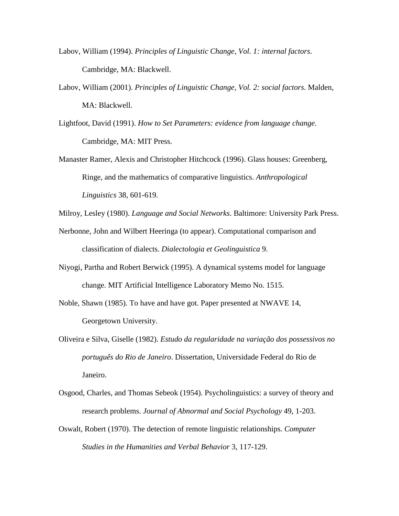- Labov, William (1994). *Principles of Linguistic Change, Vol. 1: internal factors*. Cambridge, MA: Blackwell.
- Labov, William (2001). *Principles of Linguistic Change, Vol. 2: social factors*. Malden, MA: Blackwell.
- Lightfoot, David (1991). *How to Set Parameters: evidence from language change*. Cambridge, MA: MIT Press.
- Manaster Ramer, Alexis and Christopher Hitchcock (1996). Glass houses: Greenberg, Ringe, and the mathematics of comparative linguistics. *Anthropological Linguistics* 38, 601-619.
- Milroy, Lesley (1980). *Language and Social Networks*. Baltimore: University Park Press.
- Nerbonne, John and Wilbert Heeringa (to appear). Computational comparison and classification of dialects. *Dialectologia et Geolinguistica* 9.
- Niyogi, Partha and Robert Berwick (1995). A dynamical systems model for language change. MIT Artificial Intelligence Laboratory Memo No. 1515.
- Noble, Shawn (1985). To have and have got. Paper presented at NWAVE 14, Georgetown University.
- Oliveira e Silva, Giselle (1982). *Estudo da regularidade na variação dos possessivos no português do Rio de Janeiro*. Dissertation, Universidade Federal do Rio de Janeiro.
- Osgood, Charles, and Thomas Sebeok (1954). Psycholinguistics: a survey of theory and research problems. *Journal of Abnormal and Social Psychology* 49, 1-203.
- Oswalt, Robert (1970). The detection of remote linguistic relationships. *Computer Studies in the Humanities and Verbal Behavior* 3, 117-129.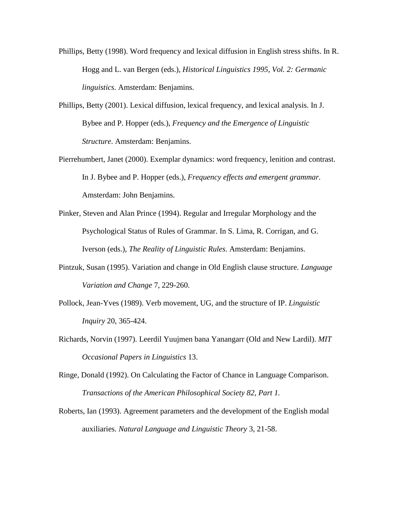- Phillips, Betty (1998). Word frequency and lexical diffusion in English stress shifts. In R. Hogg and L. van Bergen (eds.), *Historical Linguistics 1995, Vol. 2: Germanic linguistics*. Amsterdam: Benjamins.
- Phillips, Betty (2001). Lexical diffusion, lexical frequency, and lexical analysis. In J. Bybee and P. Hopper (eds.), *Frequency and the Emergence of Linguistic Structure*. Amsterdam: Benjamins.
- Pierrehumbert, Janet (2000). Exemplar dynamics: word frequency, lenition and contrast. In J. Bybee and P. Hopper (eds.), *Frequency effects and emergent grammar.* Amsterdam: John Benjamins.
- Pinker, Steven and Alan Prince (1994). Regular and Irregular Morphology and the Psychological Status of Rules of Grammar. In S. Lima, R. Corrigan, and G. Iverson (eds.), *The Reality of Linguistic Rules*. Amsterdam: Benjamins.
- Pintzuk, Susan (1995). Variation and change in Old English clause structure. *Language Variation and Change* 7, 229-260.
- Pollock, Jean-Yves (1989). Verb movement, UG, and the structure of IP. *Linguistic Inquiry* 20, 365-424.
- Richards, Norvin (1997). Leerdil Yuujmen bana Yanangarr (Old and New Lardil). *MIT Occasional Papers in Linguistics* 13.
- Ringe, Donald (1992). On Calculating the Factor of Chance in Language Comparison. *Transactions of the American Philosophical Society 82, Part 1.*
- Roberts, Ian (1993). Agreement parameters and the development of the English modal auxiliaries. *Natural Language and Linguistic Theory* 3, 21-58.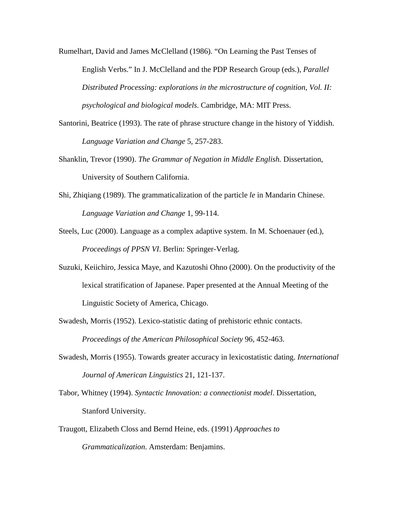Rumelhart, David and James McClelland (1986). "On Learning the Past Tenses of English Verbs." In J. McClelland and the PDP Research Group (eds.), *Parallel Distributed Processing: explorations in the microstructure of cognition, Vol. II: psychological and biological models*. Cambridge, MA: MIT Press.

- Santorini, Beatrice (1993). The rate of phrase structure change in the history of Yiddish. *Language Variation and Change* 5, 257-283.
- Shanklin, Trevor (1990). *The Grammar of Negation in Middle English.* Dissertation, University of Southern California.
- Shi, Zhiqiang (1989). The grammaticalization of the particle *le* in Mandarin Chinese. *Language Variation and Change* 1, 99-114.
- Steels, Luc (2000). Language as a complex adaptive system. In M. Schoenauer (ed.), *Proceedings of PPSN VI*. Berlin: Springer-Verlag.
- Suzuki, Keiichiro, Jessica Maye, and Kazutoshi Ohno (2000). On the productivity of the lexical stratification of Japanese. Paper presented at the Annual Meeting of the Linguistic Society of America, Chicago.
- Swadesh, Morris (1952). Lexico-statistic dating of prehistoric ethnic contacts. *Proceedings of the American Philosophical Society* 96, 452-463.
- Swadesh, Morris (1955). Towards greater accuracy in lexicostatistic dating. *International Journal of American Linguistics* 21, 121-137.
- Tabor, Whitney (1994). *Syntactic Innovation: a connectionist model*. Dissertation, Stanford University.
- Traugott, Elizabeth Closs and Bernd Heine, eds. (1991) *Approaches to Grammaticalization*. Amsterdam: Benjamins.